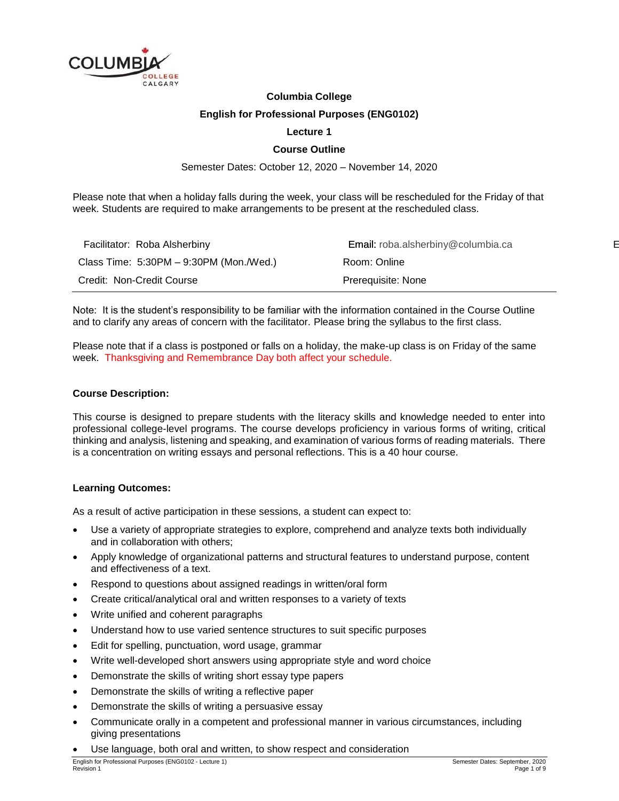

#### **Columbia College**

#### **English for Professional Purposes (ENG0102)**

#### **Lecture 1**

#### **Course Outline**

Semester Dates: October 12, 2020 – November 14, 2020

Please note that when a holiday falls during the week, your class will be rescheduled for the Friday of that week. Students are required to make arrangements to be present at the rescheduled class.

| Facilitator: Roba Alsherbiny              | <b>Email:</b> roba.alsherbiny@columbia.ca |
|-------------------------------------------|-------------------------------------------|
| Class Time: $5:30PM - 9:30PM$ (Mon./Wed.) | Room: Online                              |
| Credit: Non-Credit Course                 | Prerequisite: None                        |

Note: It is the student's responsibility to be familiar with the information contained in the Course Outline and to clarify any areas of concern with the facilitator. Please bring the syllabus to the first class.

Please note that if a class is postponed or falls on a holiday, the make-up class is on Friday of the same week. Thanksgiving and Remembrance Day both affect your schedule.

#### **Course Description:**

This course is designed to prepare students with the literacy skills and knowledge needed to enter into professional college-level programs. The course develops proficiency in various forms of writing, critical thinking and analysis, listening and speaking, and examination of various forms of reading materials. There is a concentration on writing essays and personal reflections. This is a 40 hour course.

#### **Learning Outcomes:**

As a result of active participation in these sessions, a student can expect to:

- Use a variety of appropriate strategies to explore, comprehend and analyze texts both individually and in collaboration with others;
- Apply knowledge of organizational patterns and structural features to understand purpose, content and effectiveness of a text.
- Respond to questions about assigned readings in written/oral form
- Create critical/analytical oral and written responses to a variety of texts
- Write unified and coherent paragraphs
- Understand how to use varied sentence structures to suit specific purposes
- Edit for spelling, punctuation, word usage, grammar
- Write well-developed short answers using appropriate style and word choice
- Demonstrate the skills of writing short essay type papers
- Demonstrate the skills of writing a reflective paper
- Demonstrate the skills of writing a persuasive essay
- Communicate orally in a competent and professional manner in various circumstances, including giving presentations
- Use language, both oral and written, to show respect and consideration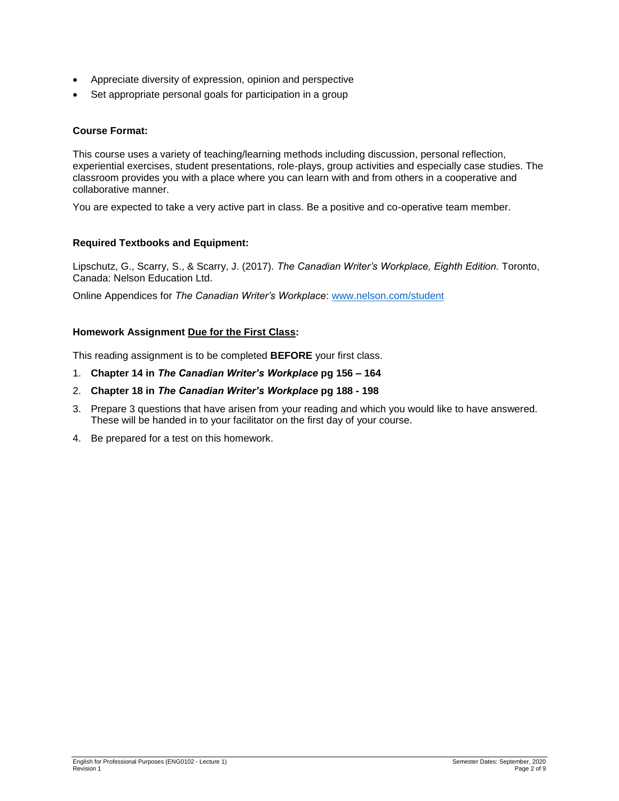- Appreciate diversity of expression, opinion and perspective
- Set appropriate personal goals for participation in a group

## **Course Format:**

This course uses a variety of teaching/learning methods including discussion, personal reflection, experiential exercises, student presentations, role-plays, group activities and especially case studies. The classroom provides you with a place where you can learn with and from others in a cooperative and collaborative manner.

You are expected to take a very active part in class. Be a positive and co-operative team member.

#### **Required Textbooks and Equipment:**

Lipschutz, G., Scarry, S., & Scarry, J. (2017). *The Canadian Writer's Workplace, Eighth Edition.* Toronto, Canada: Nelson Education Ltd.

Online Appendices for *The Canadian Writer's Workplace*: [www.nelson.com/student](http://www.nelson.com/student)

#### **Homework Assignment Due for the First Class:**

This reading assignment is to be completed **BEFORE** your first class.

- 1. **Chapter 14 in** *The Canadian Writer's Workplace* **pg 156 – 164**
- 2. **Chapter 18 in** *The Canadian Writer's Workplace* **pg 188 - 198**
- 3. Prepare 3 questions that have arisen from your reading and which you would like to have answered. These will be handed in to your facilitator on the first day of your course.
- 4. Be prepared for a test on this homework.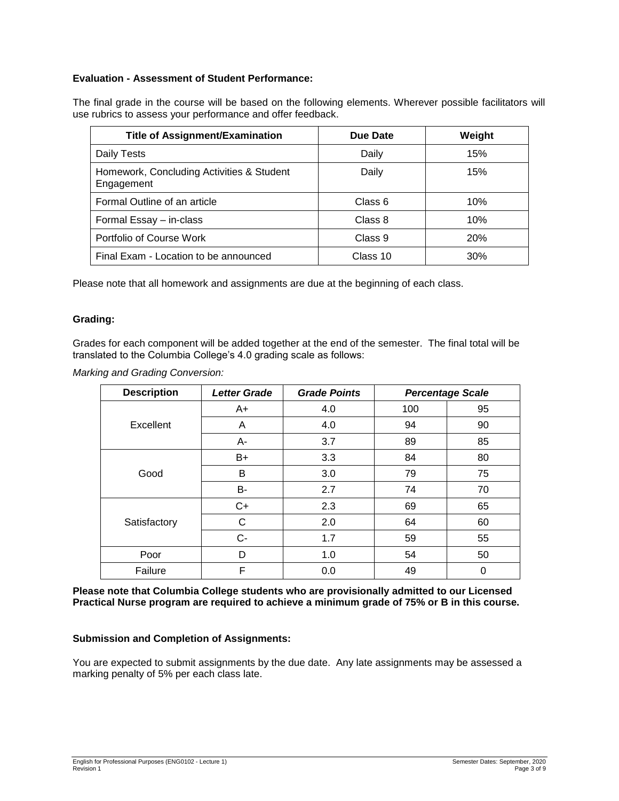# **Evaluation - Assessment of Student Performance:**

The final grade in the course will be based on the following elements. Wherever possible facilitators will use rubrics to assess your performance and offer feedback.

| <b>Title of Assignment/Examination</b>                  | Due Date | Weight     |
|---------------------------------------------------------|----------|------------|
| Daily Tests                                             | Daily    | 15%        |
| Homework, Concluding Activities & Student<br>Engagement | Daily    | 15%        |
| Formal Outline of an article                            | Class 6  | 10%        |
| Formal Essay - in-class                                 | Class 8  | 10%        |
| Portfolio of Course Work                                | Class 9  | <b>20%</b> |
| Final Exam - Location to be announced                   | Class 10 | 30%        |

Please note that all homework and assignments are due at the beginning of each class.

#### **Grading:**

Grades for each component will be added together at the end of the semester. The final total will be translated to the Columbia College's 4.0 grading scale as follows:

*Marking and Grading Conversion:*

| <b>Description</b> | <b>Letter Grade</b> | <b>Grade Points</b> |     | <b>Percentage Scale</b> |
|--------------------|---------------------|---------------------|-----|-------------------------|
| Excellent          | $A+$                | 4.0                 | 100 | 95                      |
|                    | A                   | 4.0                 | 94  | 90                      |
|                    | А-                  | 3.7                 | 89  | 85                      |
| Good               | $B+$                | 3.3                 | 84  | 80                      |
|                    | B                   | 3.0                 | 79  | 75                      |
|                    | B-                  | 2.7                 | 74  | 70                      |
| Satisfactory       | C+                  | 2.3                 | 69  | 65                      |
|                    | С                   | 2.0                 | 64  | 60                      |
|                    | $C-$                | 1.7                 | 59  | 55                      |
| Poor               | D                   | 1.0                 | 54  | 50                      |
| Failure            | F                   | 0.0                 | 49  | 0                       |

**Please note that Columbia College students who are provisionally admitted to our Licensed Practical Nurse program are required to achieve a minimum grade of 75% or B in this course.**

#### **Submission and Completion of Assignments:**

You are expected to submit assignments by the due date. Any late assignments may be assessed a marking penalty of 5% per each class late.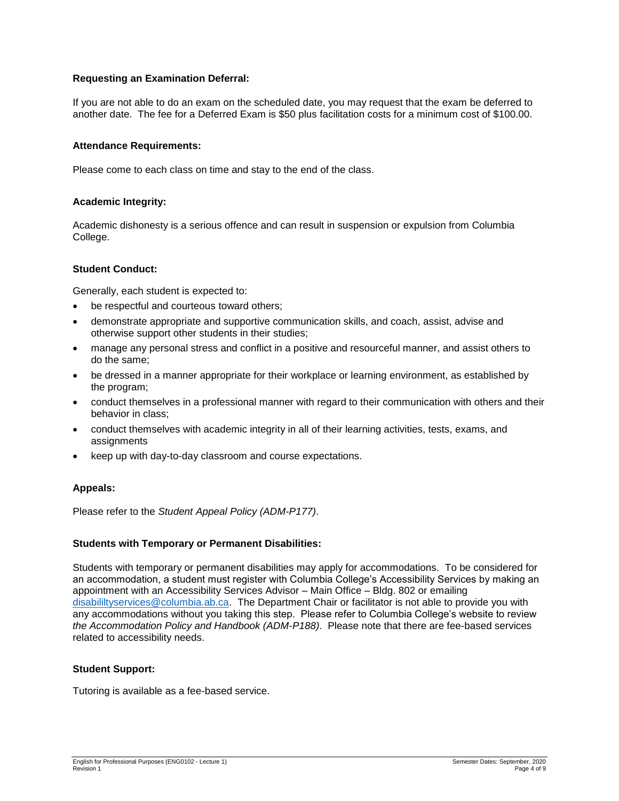# **Requesting an Examination Deferral:**

If you are not able to do an exam on the scheduled date, you may request that the exam be deferred to another date. The fee for a Deferred Exam is \$50 plus facilitation costs for a minimum cost of \$100.00.

#### **Attendance Requirements:**

Please come to each class on time and stay to the end of the class.

#### **Academic Integrity:**

Academic dishonesty is a serious offence and can result in suspension or expulsion from Columbia College.

#### **Student Conduct:**

Generally, each student is expected to:

- be respectful and courteous toward others;
- demonstrate appropriate and supportive communication skills, and coach, assist, advise and otherwise support other students in their studies;
- manage any personal stress and conflict in a positive and resourceful manner, and assist others to do the same;
- be dressed in a manner appropriate for their workplace or learning environment, as established by the program;
- conduct themselves in a professional manner with regard to their communication with others and their behavior in class;
- conduct themselves with academic integrity in all of their learning activities, tests, exams, and **assignments**
- keep up with day-to-day classroom and course expectations.

# **Appeals:**

Please refer to the *Student Appeal Policy (ADM-P177)*.

#### **Students with Temporary or Permanent Disabilities:**

Students with temporary or permanent disabilities may apply for accommodations. To be considered for an accommodation, a student must register with Columbia College's Accessibility Services by making an appointment with an Accessibility Services Advisor – Main Office – Bldg. 802 or emailing [disabililtyservices@columbia.ab.ca.](mailto:disabililtyservices@columbia.ab.ca) The Department Chair or facilitator is not able to provide you with any accommodations without you taking this step. Please refer to Columbia College's website to review *the Accommodation Policy and Handbook (ADM-P188)*. Please note that there are fee-based services related to accessibility needs.

#### **Student Support:**

Tutoring is available as a fee-based service.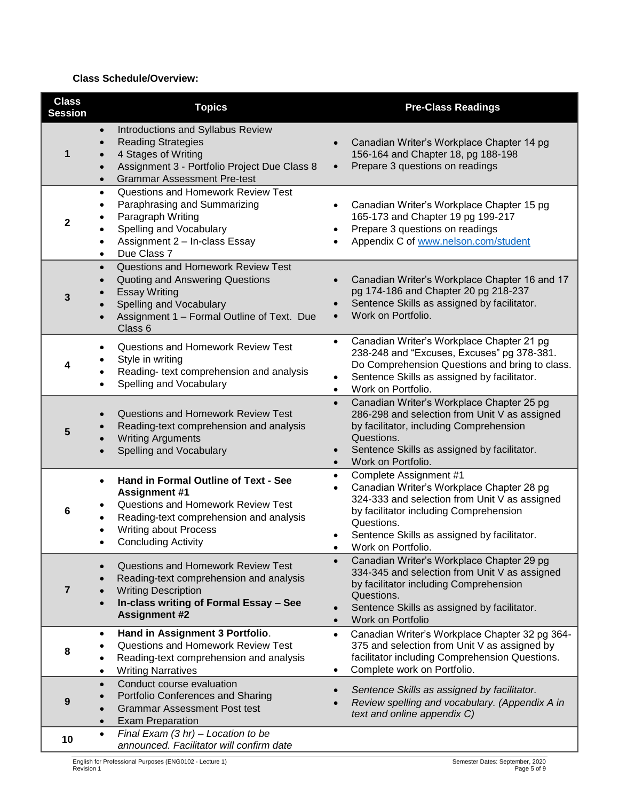# **Class Schedule/Overview:**

| <b>Class</b><br><b>Session</b> | <b>Topics</b>                                                                                                                                                                                                                   | <b>Pre-Class Readings</b>                                                                                                                                                                                                                                                                |
|--------------------------------|---------------------------------------------------------------------------------------------------------------------------------------------------------------------------------------------------------------------------------|------------------------------------------------------------------------------------------------------------------------------------------------------------------------------------------------------------------------------------------------------------------------------------------|
| 1                              | Introductions and Syllabus Review<br>$\bullet$<br><b>Reading Strategies</b><br>4 Stages of Writing<br>Assignment 3 - Portfolio Project Due Class 8<br><b>Grammar Assessment Pre-test</b>                                        | Canadian Writer's Workplace Chapter 14 pg<br>156-164 and Chapter 18, pg 188-198<br>Prepare 3 questions on readings<br>$\bullet$                                                                                                                                                          |
| $\mathbf 2$                    | <b>Questions and Homework Review Test</b><br>$\bullet$<br>Paraphrasing and Summarizing<br>٠<br>Paragraph Writing<br>Spelling and Vocabulary<br>٠<br>Assignment 2 - In-class Essay<br>$\bullet$<br>Due Class 7<br>$\bullet$      | Canadian Writer's Workplace Chapter 15 pg<br>165-173 and Chapter 19 pg 199-217<br>Prepare 3 questions on readings<br>Appendix C of www.nelson.com/student                                                                                                                                |
| 3                              | <b>Questions and Homework Review Test</b><br>$\bullet$<br>Quoting and Answering Questions<br>$\bullet$<br><b>Essay Writing</b><br>Spelling and Vocabulary<br>Assignment 1 - Formal Outline of Text. Due<br>$\bullet$<br>Class 6 | Canadian Writer's Workplace Chapter 16 and 17<br>$\bullet$<br>pg 174-186 and Chapter 20 pg 218-237<br>Sentence Skills as assigned by facilitator.<br>Work on Portfolio.<br>$\bullet$                                                                                                     |
|                                | <b>Questions and Homework Review Test</b><br>Style in writing<br>Reading- text comprehension and analysis<br>Spelling and Vocabulary                                                                                            | Canadian Writer's Workplace Chapter 21 pg<br>$\bullet$<br>238-248 and "Excuses, Excuses" pg 378-381.<br>Do Comprehension Questions and bring to class.<br>Sentence Skills as assigned by facilitator.<br>$\bullet$<br>Work on Portfolio.<br>$\bullet$                                    |
| 5                              | <b>Questions and Homework Review Test</b><br>Reading-text comprehension and analysis<br><b>Writing Arguments</b><br>Spelling and Vocabulary                                                                                     | Canadian Writer's Workplace Chapter 25 pg<br>$\bullet$<br>286-298 and selection from Unit V as assigned<br>by facilitator, including Comprehension<br>Questions.<br>Sentence Skills as assigned by facilitator.<br>$\bullet$<br>Work on Portfolio.<br>$\bullet$                          |
| 6                              | Hand in Formal Outline of Text - See<br>$\bullet$<br><b>Assignment #1</b><br><b>Questions and Homework Review Test</b><br>Reading-text comprehension and analysis<br><b>Writing about Process</b><br><b>Concluding Activity</b> | Complete Assignment #1<br>$\bullet$<br>Canadian Writer's Workplace Chapter 28 pg<br>$\bullet$<br>324-333 and selection from Unit V as assigned<br>by facilitator including Comprehension<br>Questions.<br>Sentence Skills as assigned by facilitator.<br>$\bullet$<br>Work on Portfolio. |
| 7                              | Questions and Homework Review Test<br>$\bullet$<br>Reading-text comprehension and analysis<br><b>Writing Description</b><br>In-class writing of Formal Essay - See<br>$\bullet$<br><b>Assignment #2</b>                         | Canadian Writer's Workplace Chapter 29 pg<br>$\bullet$<br>334-345 and selection from Unit V as assigned<br>by facilitator including Comprehension<br>Questions.<br>Sentence Skills as assigned by facilitator.<br>$\bullet$<br>Work on Portfolio<br>$\bullet$                            |
| 8                              | Hand in Assignment 3 Portfolio.<br>٠<br><b>Questions and Homework Review Test</b><br>Reading-text comprehension and analysis<br>٠<br><b>Writing Narratives</b><br>٠                                                             | Canadian Writer's Workplace Chapter 32 pg 364-<br>$\bullet$<br>375 and selection from Unit V as assigned by<br>facilitator including Comprehension Questions.<br>Complete work on Portfolio.<br>٠                                                                                        |
| 9                              | Conduct course evaluation<br>$\bullet$<br>Portfolio Conferences and Sharing<br>$\bullet$<br><b>Grammar Assessment Post test</b><br>$\bullet$<br><b>Exam Preparation</b><br>$\bullet$                                            | Sentence Skills as assigned by facilitator.<br>$\bullet$<br>Review spelling and vocabulary. (Appendix A in<br>text and online appendix C)                                                                                                                                                |
| 10                             | Final Exam $(3 hr)$ – Location to be<br>$\bullet$<br>announced. Facilitator will confirm date                                                                                                                                   |                                                                                                                                                                                                                                                                                          |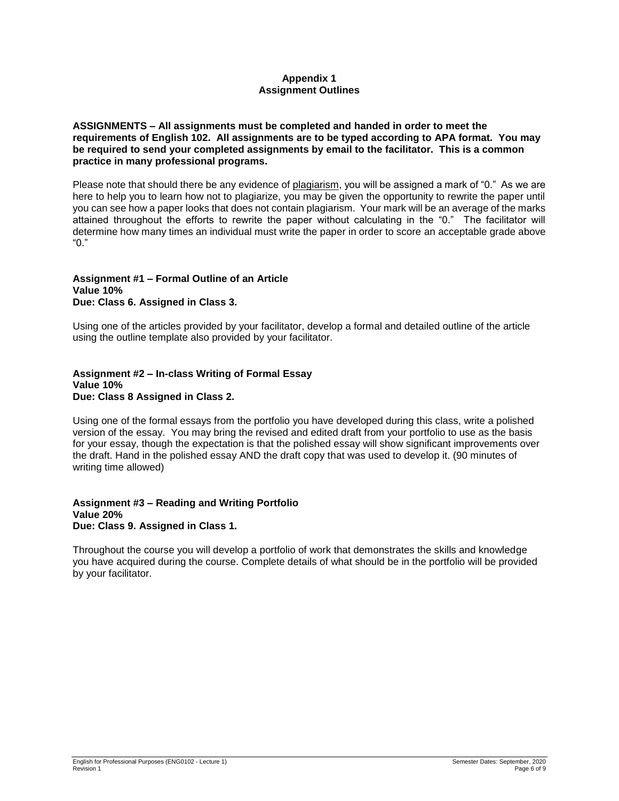# **Appendix 1 Assignment Outlines**

**ASSIGNMENTS – All assignments must be completed and handed in order to meet the requirements of English 102. All assignments are to be typed according to APA format. You may be required to send your completed assignments by email to the facilitator. This is a common practice in many professional programs.**

Please note that should there be any evidence of plagiarism, you will be assigned a mark of "0." As we are here to help you to learn how not to plagiarize, you may be given the opportunity to rewrite the paper until you can see how a paper looks that does not contain plagiarism. Your mark will be an average of the marks attained throughout the efforts to rewrite the paper without calculating in the "0." The facilitator will determine how many times an individual must write the paper in order to score an acceptable grade above "0."

#### **Assignment #1 – Formal Outline of an Article Value 10% Due: Class 6. Assigned in Class 3.**

Using one of the articles provided by your facilitator, develop a formal and detailed outline of the article using the outline template also provided by your facilitator.

#### **Assignment #2 – In-class Writing of Formal Essay Value 10% Due: Class 8 Assigned in Class 2.**

Using one of the formal essays from the portfolio you have developed during this class, write a polished version of the essay. You may bring the revised and edited draft from your portfolio to use as the basis for your essay, though the expectation is that the polished essay will show significant improvements over the draft. Hand in the polished essay AND the draft copy that was used to develop it. (90 minutes of writing time allowed)

#### **Assignment #3 – Reading and Writing Portfolio Value 20% Due: Class 9. Assigned in Class 1.**

Throughout the course you will develop a portfolio of work that demonstrates the skills and knowledge you have acquired during the course. Complete details of what should be in the portfolio will be provided by your facilitator.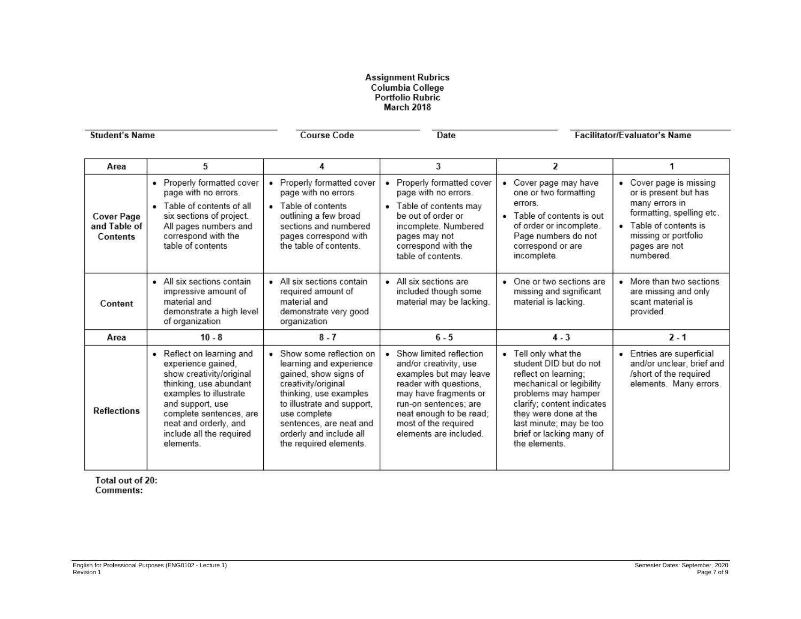# Assignment Rubrics<br>Columbia College<br>Portfolio Rubric<br>March 2018

| <b>Student's Name</b>                         |                                                                                                                                                                                                                                                  | <b>Course Code</b>                                                                                                                                                                                                                                         | Date                                                                                                                                                                                                                                   |                                                                                                                                                                                                                                                          | <b>Facilitator/Evaluator's Name</b>                                                                                                                                           |
|-----------------------------------------------|--------------------------------------------------------------------------------------------------------------------------------------------------------------------------------------------------------------------------------------------------|------------------------------------------------------------------------------------------------------------------------------------------------------------------------------------------------------------------------------------------------------------|----------------------------------------------------------------------------------------------------------------------------------------------------------------------------------------------------------------------------------------|----------------------------------------------------------------------------------------------------------------------------------------------------------------------------------------------------------------------------------------------------------|-------------------------------------------------------------------------------------------------------------------------------------------------------------------------------|
| Area                                          | 5                                                                                                                                                                                                                                                | 4                                                                                                                                                                                                                                                          | 3                                                                                                                                                                                                                                      | $\overline{\mathbf{z}}$                                                                                                                                                                                                                                  | 1                                                                                                                                                                             |
| <b>Cover Page</b><br>and Table of<br>Contents | • Properly formatted cover<br>page with no errors.<br>• Table of contents of all<br>six sections of project.<br>All pages numbers and<br>correspond with the<br>table of contents                                                                | Properly formatted cover<br>page with no errors.<br>• Table of contents<br>outlining a few broad<br>sections and numbered<br>pages correspond with<br>the table of contents.                                                                               | • Properly formatted cover<br>page with no errors.<br>• Table of contents may<br>be out of order or<br>incomplete. Numbered<br>pages may not<br>correspond with the<br>table of contents.                                              | Cover page may have<br>one or two formatting<br>errors.<br>• Table of contents is out<br>of order or incomplete.<br>Page numbers do not<br>correspond or are<br>incomplete.                                                                              | Cover page is missing<br>or is present but has<br>many errors in<br>formatting, spelling etc.<br>• Table of contents is<br>missing or portfolio<br>pages are not<br>numbered. |
| Content                                       | • All six sections contain<br>impressive amount of<br>material and<br>demonstrate a high level<br>of organization                                                                                                                                | • All six sections contain<br>required amount of<br>material and<br>demonstrate very good<br>organization                                                                                                                                                  | • All six sections are<br>included though some<br>material may be lacking.                                                                                                                                                             | • One or two sections are<br>missing and significant<br>material is lacking.                                                                                                                                                                             | More than two sections<br>are missing and only<br>scant material is<br>provided.                                                                                              |
| Area                                          | $10 - 8$                                                                                                                                                                                                                                         | $8 - 7$                                                                                                                                                                                                                                                    | $6 - 5$                                                                                                                                                                                                                                | $4 - 3$                                                                                                                                                                                                                                                  | $2 - 1$                                                                                                                                                                       |
| <b>Reflections</b>                            | • Reflect on learning and<br>experience gained,<br>show creativity/original<br>thinking, use abundant<br>examples to illustrate<br>and support, use<br>complete sentences, are<br>neat and orderly, and<br>include all the required<br>elements. | Show some reflection on<br>learning and experience<br>gained, show signs of<br>creativity/original<br>thinking, use examples<br>to illustrate and support,<br>use complete<br>sentences, are neat and<br>orderly and include all<br>the required elements. | • Show limited reflection<br>and/or creativity, use<br>examples but may leave<br>reader with questions,<br>may have fragments or<br>run-on sentences: are<br>neat enough to be read;<br>most of the required<br>elements are included. | • Tell only what the<br>student DID but do not<br>reflect on learning;<br>mechanical or legibility<br>problems may hamper<br>clarify; content indicates<br>they were done at the<br>last minute; may be too<br>brief or lacking many of<br>the elements. | Entries are superficial<br>and/or unclear, brief and<br>/short of the required<br>elements. Many errors.                                                                      |

Total out of 20: Comments: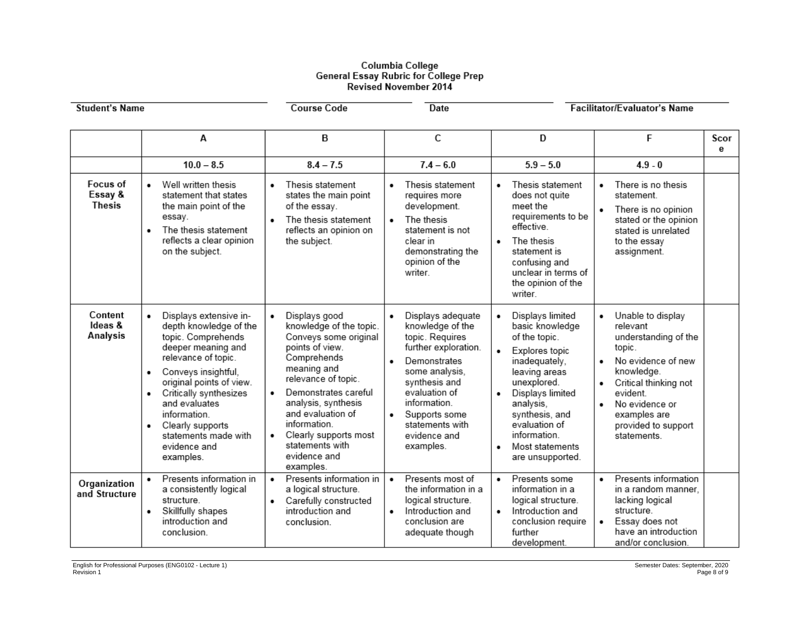# Columbia College<br>General Essay Rubric for College Prep<br>Revised November 2014

| <b>Student's Name</b>                |                                                                                                                                                                                                                                                                                                                           | <b>Course Code</b>                                                                                                                                                                                                                                                                                                               | <b>Date</b>                                                                                                                                                                                                                                                          |                                                                                                                                                                                                                                                    | <b>Facilitator/Evaluator's Name</b>                                                                                                                                                                                                    |           |
|--------------------------------------|---------------------------------------------------------------------------------------------------------------------------------------------------------------------------------------------------------------------------------------------------------------------------------------------------------------------------|----------------------------------------------------------------------------------------------------------------------------------------------------------------------------------------------------------------------------------------------------------------------------------------------------------------------------------|----------------------------------------------------------------------------------------------------------------------------------------------------------------------------------------------------------------------------------------------------------------------|----------------------------------------------------------------------------------------------------------------------------------------------------------------------------------------------------------------------------------------------------|----------------------------------------------------------------------------------------------------------------------------------------------------------------------------------------------------------------------------------------|-----------|
|                                      | Α                                                                                                                                                                                                                                                                                                                         | в                                                                                                                                                                                                                                                                                                                                | С                                                                                                                                                                                                                                                                    | D                                                                                                                                                                                                                                                  | F                                                                                                                                                                                                                                      | Scor<br>e |
|                                      | $10.0 - 8.5$                                                                                                                                                                                                                                                                                                              | $8.4 - 7.5$                                                                                                                                                                                                                                                                                                                      | $7.4 - 6.0$                                                                                                                                                                                                                                                          | $5.9 - 5.0$                                                                                                                                                                                                                                        | $4.9 - 0$                                                                                                                                                                                                                              |           |
| Focus of<br>Essay &<br><b>Thesis</b> | Well written thesis<br>statement that states<br>the main point of the<br>essay.<br>The thesis statement<br>reflects a clear opinion<br>on the subject.                                                                                                                                                                    | Thesis statement<br>$\bullet$<br>states the main point<br>of the essay.<br>The thesis statement<br>reflects an opinion on<br>the subject.                                                                                                                                                                                        | Thesis statement<br>٠<br>requires more<br>development.<br>The thesis<br>$\bullet$<br>statement is not<br>clear in<br>demonstrating the<br>opinion of the<br>writer.                                                                                                  | Thesis statement<br>does not quite<br>meet the<br>requirements to be<br>effective.<br>The thesis<br>$\bullet$<br>statement is<br>confusing and<br>unclear in terms of<br>the opinion of the<br>writer.                                             | There is no thesis<br>٠<br>statement.<br>There is no opinion<br>٠<br>stated or the opinion<br>stated is unrelated<br>to the essay<br>assignment.                                                                                       |           |
| Content<br>Ideas &<br>Analysis       | Displays extensive in-<br>٠<br>depth knowledge of the<br>topic. Comprehends<br>deeper meaning and<br>relevance of topic.<br>Conveys insightful,<br>٠<br>original points of view.<br>Critically synthesizes<br>and evaluates<br>information.<br>Clearly supports<br>٠<br>statements made with<br>evidence and<br>examples. | Displays good<br>$\bullet$<br>knowledge of the topic.<br>Conveys some original<br>points of view.<br>Comprehends<br>meaning and<br>relevance of topic.<br>Demonstrates careful<br>$\bullet$<br>analysis, synthesis<br>and evaluation of<br>information.<br>Clearly supports most<br>statements with<br>evidence and<br>examples. | Displays adequate<br>$\bullet$<br>knowledge of the<br>topic. Requires<br>further exploration.<br>Demonstrates<br>$\bullet$<br>some analysis,<br>synthesis and<br>evaluation of<br>information.<br>Supports some<br>٠<br>statements with<br>evidence and<br>examples. | Displays limited<br>basic knowledge<br>of the topic.<br>Explores topic<br>inadequately,<br>leaving areas<br>unexplored.<br>Displays limited<br>analysis,<br>synthesis, and<br>evaluation of<br>information.<br>Most statements<br>are unsupported. | Unable to display<br>٠<br>relevant<br>understanding of the<br>topic.<br>No evidence of new<br>$\bullet$<br>knowledge.<br>Critical thinking not<br>٠<br>evident<br>No evidence or<br>examples are<br>provided to support<br>statements. |           |
| Organization<br>and Structure        | Presents information in<br>a consistently logical<br>structure.<br>Skillfully shapes<br>٠<br>introduction and<br>conclusion.                                                                                                                                                                                              | Presents information in<br>a logical structure.<br>Carefully constructed<br>$\bullet$<br>introduction and<br>conclusion.                                                                                                                                                                                                         | Presents most of<br>$\bullet$<br>the information in a<br>logical structure.<br>Introduction and<br>$\bullet$<br>conclusion are<br>adequate though                                                                                                                    | Presents some<br>$\bullet$<br>information in a<br>logical structure.<br>Introduction and<br>$\bullet$<br>conclusion require<br>further<br>development.                                                                                             | Presents information<br>in a random manner,<br>lacking logical<br>structure.<br>Essay does not<br>٠<br>have an introduction<br>and/or conclusion.                                                                                      |           |

- Lecture 1) Semester Dates: September, 2020 8 of 9